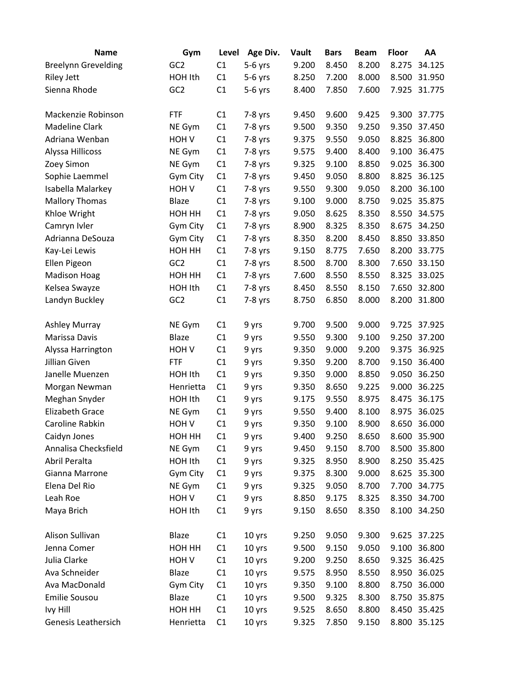| 9.200<br>8.200<br><b>Breelynn Grevelding</b><br>GC <sub>2</sub><br>C1<br>$5-6$ yrs<br>8.450<br>8.275<br>34.125<br>C1<br>HOH Ith<br>8.250<br>7.200<br>8.000<br>8.500<br>31.950<br><b>Riley Jett</b><br>$5-6$ yrs<br>7.925<br>Sienna Rhode<br>GC <sub>2</sub><br>C1<br>8.400<br>7.850<br>7.600<br>31.775<br>$5-6$ yrs<br>Mackenzie Robinson<br>C1<br>9.450<br>9.600<br>9.425<br>9.300<br>37.775<br><b>FTF</b><br>$7-8$ yrs<br><b>Madeline Clark</b><br>C1<br>$7-8$ yrs<br>9.500<br>9.350<br>9.250<br>9.350<br>37.450<br>NE Gym<br>Adriana Wenban<br>C1<br>9.050<br>8.825<br>36.800<br>HOH V<br>$7-8$ yrs<br>9.375<br>9.550<br>36.475<br>Alyssa Hillicoss<br>C1<br>9.575<br>9.400<br>8.400<br>9.100<br>NE Gym<br>$7-8$ yrs<br>36.300<br>Zoey Simon<br>C1<br>9.325<br>9.100<br>8.850<br>9.025<br>NE Gym<br>$7-8$ yrs<br>Sophie Laemmel<br>8.800<br>8.825<br>36.125<br>Gym City<br>C1<br>9.450<br>9.050<br>$7-8$ yrs<br>C1<br>36.100<br>Isabella Malarkey<br>HOH <sub>V</sub><br>9.550<br>9.300<br>9.050<br>8.200<br>$7-8$ yrs<br><b>Mallory Thomas</b><br>C1<br>9.000<br>8.750<br>9.025<br>35.875<br>Blaze<br>7-8 yrs<br>9.100<br>Khloe Wright<br>C1<br>9.050<br>8.625<br>8.350<br>8.550<br>34.575<br>HOH HH<br>$7-8$ yrs<br>Camryn Ivler<br>C1<br>8.900<br>8.325<br>8.350<br>8.675<br>34.250<br>Gym City<br>$7-8$ yrs<br>33.850<br>Adrianna DeSouza<br>C1<br>8.350<br>8.200<br>8.850<br>Gym City<br>$7-8$ yrs<br>8.450<br>Kay-Lei Lewis<br>HOH HH<br>C1<br>8.775<br>7.650<br>8.200<br>33.775<br>$7-8$ yrs<br>9.150<br>GC <sub>2</sub><br>8.300<br>33.150<br>Ellen Pigeon<br>C1<br>$7-8$ yrs<br>8.500<br>8.700<br>7.650<br><b>Madison Hoag</b><br>HOH HH<br>C1<br>7.600<br>8.550<br>8.550<br>8.325<br>33.025<br>$7-8$ yrs<br>32.800<br>Kelsea Swayze<br>C1<br>8.550<br>8.150<br>7.650<br>HOH Ith<br>$7-8$ yrs<br>8.450<br>GC <sub>2</sub><br>C1<br>8.200<br>Landyn Buckley<br>8.750<br>6.850<br>8.000<br>31.800<br>$7-8$ yrs<br>9.000<br>C1<br>9.700<br>9.500<br>9.725<br>37.925<br><b>Ashley Murray</b><br>NE Gym<br>9 yrs<br>C1<br>Marissa Davis<br><b>Blaze</b><br>9.300<br>9.100<br>9.250<br>37.200<br>9 yrs<br>9.550<br>36.925<br>C1<br>9.350<br>9.000<br>9.200<br>9.375<br>Alyssa Harrington<br>HOH V<br>9 yrs<br>Jillian Given<br><b>FTF</b><br>C1<br>9.350<br>9.200<br>8.700<br>9.150<br>36.400<br>9 yrs<br>Janelle Muenzen<br>C1<br>9.000<br>8.850<br>9.050<br>36.250<br>HOH Ith<br>9 yrs<br>9.350<br>C1<br>9.350<br>8.650<br>9.225<br>9.000<br>36.225<br>Morgan Newman<br>Henrietta<br>9 yrs<br>C1<br>Meghan Snyder<br>HOH Ith<br>9.175<br>9.550<br>8.975<br>8.475<br>36.175<br>9 yrs<br><b>Elizabeth Grace</b><br>36.025<br>NE Gym<br>C1<br>9.550<br>9.400<br>8.100<br>8.975<br>9 yrs<br>C1<br>36.000<br>Caroline Rabkin<br>HOH <sub>V</sub><br>9.350<br>9.100<br>8.900<br>8.650<br>9 yrs<br>HOH HH<br>9.400<br>9.250<br>8.650<br>35.900<br>Caidyn Jones<br>C1<br>9 yrs<br>8.600<br>Annalisa Checksfield<br>8.700<br>8.500 35.800<br>NE Gym<br>C1<br>9 yrs<br>9.450<br>9.150<br>Abril Peralta<br>HOH Ith<br>C1<br>8.950<br>8.900<br>8.250 35.425<br>9 yrs<br>9.325<br>Gianna Marrone<br>C1<br>9.375<br>8.300<br>9.000<br>8.625<br>35.300<br>Gym City<br>9 yrs<br>Elena Del Rio<br>NE Gym<br>C1<br>9.325<br>9.050<br>8.700<br>7.700 34.775<br>9 yrs<br>Leah Roe<br>HOH V<br>C1<br>9 yrs<br>8.850<br>9.175<br>8.325<br>8.350 34.700<br>Maya Brich<br>HOH Ith<br>C1<br>9.150<br>8.650<br>8.350<br>8.100 34.250<br>9 yrs<br>Alison Sullivan<br>9.050<br>9.300<br>Blaze<br>C1<br>9.250<br>9.625 37.225<br>10 yrs<br>Jenna Comer<br>HOH HH<br>C1<br>10 yrs<br>9.500<br>9.150<br>9.050<br>9.100 36.800<br>Julia Clarke<br>HOH <sub>V</sub><br>C1<br>10 yrs<br>9.200<br>9.250<br>8.650<br>9.325 36.425<br>Ava Schneider<br>C1<br>8.550<br>Blaze<br>10 yrs<br>8.950<br>8.950 36.025<br>9.575<br>Ava MacDonald<br>8.800<br>36.000<br>Gym City<br>C1<br>10 yrs<br>9.350<br>9.100<br>8.750<br><b>Emilie Sousou</b><br>Blaze<br>C1<br>9.500<br>9.325<br>8.300<br>8.750 35.875<br>10 yrs<br>Ivy Hill<br>C1<br>10 yrs<br>8.800<br>8.450 35.425<br>HOH HH<br>9.525<br>8.650<br>8.800 35.125 | <b>Name</b>         | Gym       | Level | Age Div. | Vault | <b>Bars</b> | <b>Beam</b> | Floor | AA |
|------------------------------------------------------------------------------------------------------------------------------------------------------------------------------------------------------------------------------------------------------------------------------------------------------------------------------------------------------------------------------------------------------------------------------------------------------------------------------------------------------------------------------------------------------------------------------------------------------------------------------------------------------------------------------------------------------------------------------------------------------------------------------------------------------------------------------------------------------------------------------------------------------------------------------------------------------------------------------------------------------------------------------------------------------------------------------------------------------------------------------------------------------------------------------------------------------------------------------------------------------------------------------------------------------------------------------------------------------------------------------------------------------------------------------------------------------------------------------------------------------------------------------------------------------------------------------------------------------------------------------------------------------------------------------------------------------------------------------------------------------------------------------------------------------------------------------------------------------------------------------------------------------------------------------------------------------------------------------------------------------------------------------------------------------------------------------------------------------------------------------------------------------------------------------------------------------------------------------------------------------------------------------------------------------------------------------------------------------------------------------------------------------------------------------------------------------------------------------------------------------------------------------------------------------------------------------------------------------------------------------------------------------------------------------------------------------------------------------------------------------------------------------------------------------------------------------------------------------------------------------------------------------------------------------------------------------------------------------------------------------------------------------------------------------------------------------------------------------------------------------------------------------------------------------------------------------------------------------------------------------------------------------------------------------------------------------------------------------------------------------------------------------------------------------------------------------------------------------------------------------------------------------------------------------------------------------------------------------------------------------------------------------------------------------------------------------------------------------------------------------------------------------------------------------------------------------------------------------------------------------------------------------------------------------------------------------------------------------------------------------------------------------------------------------------------------------------|---------------------|-----------|-------|----------|-------|-------------|-------------|-------|----|
|                                                                                                                                                                                                                                                                                                                                                                                                                                                                                                                                                                                                                                                                                                                                                                                                                                                                                                                                                                                                                                                                                                                                                                                                                                                                                                                                                                                                                                                                                                                                                                                                                                                                                                                                                                                                                                                                                                                                                                                                                                                                                                                                                                                                                                                                                                                                                                                                                                                                                                                                                                                                                                                                                                                                                                                                                                                                                                                                                                                                                                                                                                                                                                                                                                                                                                                                                                                                                                                                                                                                                                                                                                                                                                                                                                                                                                                                                                                                                                                                                                                                                    |                     |           |       |          |       |             |             |       |    |
|                                                                                                                                                                                                                                                                                                                                                                                                                                                                                                                                                                                                                                                                                                                                                                                                                                                                                                                                                                                                                                                                                                                                                                                                                                                                                                                                                                                                                                                                                                                                                                                                                                                                                                                                                                                                                                                                                                                                                                                                                                                                                                                                                                                                                                                                                                                                                                                                                                                                                                                                                                                                                                                                                                                                                                                                                                                                                                                                                                                                                                                                                                                                                                                                                                                                                                                                                                                                                                                                                                                                                                                                                                                                                                                                                                                                                                                                                                                                                                                                                                                                                    |                     |           |       |          |       |             |             |       |    |
|                                                                                                                                                                                                                                                                                                                                                                                                                                                                                                                                                                                                                                                                                                                                                                                                                                                                                                                                                                                                                                                                                                                                                                                                                                                                                                                                                                                                                                                                                                                                                                                                                                                                                                                                                                                                                                                                                                                                                                                                                                                                                                                                                                                                                                                                                                                                                                                                                                                                                                                                                                                                                                                                                                                                                                                                                                                                                                                                                                                                                                                                                                                                                                                                                                                                                                                                                                                                                                                                                                                                                                                                                                                                                                                                                                                                                                                                                                                                                                                                                                                                                    |                     |           |       |          |       |             |             |       |    |
|                                                                                                                                                                                                                                                                                                                                                                                                                                                                                                                                                                                                                                                                                                                                                                                                                                                                                                                                                                                                                                                                                                                                                                                                                                                                                                                                                                                                                                                                                                                                                                                                                                                                                                                                                                                                                                                                                                                                                                                                                                                                                                                                                                                                                                                                                                                                                                                                                                                                                                                                                                                                                                                                                                                                                                                                                                                                                                                                                                                                                                                                                                                                                                                                                                                                                                                                                                                                                                                                                                                                                                                                                                                                                                                                                                                                                                                                                                                                                                                                                                                                                    |                     |           |       |          |       |             |             |       |    |
|                                                                                                                                                                                                                                                                                                                                                                                                                                                                                                                                                                                                                                                                                                                                                                                                                                                                                                                                                                                                                                                                                                                                                                                                                                                                                                                                                                                                                                                                                                                                                                                                                                                                                                                                                                                                                                                                                                                                                                                                                                                                                                                                                                                                                                                                                                                                                                                                                                                                                                                                                                                                                                                                                                                                                                                                                                                                                                                                                                                                                                                                                                                                                                                                                                                                                                                                                                                                                                                                                                                                                                                                                                                                                                                                                                                                                                                                                                                                                                                                                                                                                    |                     |           |       |          |       |             |             |       |    |
|                                                                                                                                                                                                                                                                                                                                                                                                                                                                                                                                                                                                                                                                                                                                                                                                                                                                                                                                                                                                                                                                                                                                                                                                                                                                                                                                                                                                                                                                                                                                                                                                                                                                                                                                                                                                                                                                                                                                                                                                                                                                                                                                                                                                                                                                                                                                                                                                                                                                                                                                                                                                                                                                                                                                                                                                                                                                                                                                                                                                                                                                                                                                                                                                                                                                                                                                                                                                                                                                                                                                                                                                                                                                                                                                                                                                                                                                                                                                                                                                                                                                                    |                     |           |       |          |       |             |             |       |    |
|                                                                                                                                                                                                                                                                                                                                                                                                                                                                                                                                                                                                                                                                                                                                                                                                                                                                                                                                                                                                                                                                                                                                                                                                                                                                                                                                                                                                                                                                                                                                                                                                                                                                                                                                                                                                                                                                                                                                                                                                                                                                                                                                                                                                                                                                                                                                                                                                                                                                                                                                                                                                                                                                                                                                                                                                                                                                                                                                                                                                                                                                                                                                                                                                                                                                                                                                                                                                                                                                                                                                                                                                                                                                                                                                                                                                                                                                                                                                                                                                                                                                                    |                     |           |       |          |       |             |             |       |    |
|                                                                                                                                                                                                                                                                                                                                                                                                                                                                                                                                                                                                                                                                                                                                                                                                                                                                                                                                                                                                                                                                                                                                                                                                                                                                                                                                                                                                                                                                                                                                                                                                                                                                                                                                                                                                                                                                                                                                                                                                                                                                                                                                                                                                                                                                                                                                                                                                                                                                                                                                                                                                                                                                                                                                                                                                                                                                                                                                                                                                                                                                                                                                                                                                                                                                                                                                                                                                                                                                                                                                                                                                                                                                                                                                                                                                                                                                                                                                                                                                                                                                                    |                     |           |       |          |       |             |             |       |    |
|                                                                                                                                                                                                                                                                                                                                                                                                                                                                                                                                                                                                                                                                                                                                                                                                                                                                                                                                                                                                                                                                                                                                                                                                                                                                                                                                                                                                                                                                                                                                                                                                                                                                                                                                                                                                                                                                                                                                                                                                                                                                                                                                                                                                                                                                                                                                                                                                                                                                                                                                                                                                                                                                                                                                                                                                                                                                                                                                                                                                                                                                                                                                                                                                                                                                                                                                                                                                                                                                                                                                                                                                                                                                                                                                                                                                                                                                                                                                                                                                                                                                                    |                     |           |       |          |       |             |             |       |    |
|                                                                                                                                                                                                                                                                                                                                                                                                                                                                                                                                                                                                                                                                                                                                                                                                                                                                                                                                                                                                                                                                                                                                                                                                                                                                                                                                                                                                                                                                                                                                                                                                                                                                                                                                                                                                                                                                                                                                                                                                                                                                                                                                                                                                                                                                                                                                                                                                                                                                                                                                                                                                                                                                                                                                                                                                                                                                                                                                                                                                                                                                                                                                                                                                                                                                                                                                                                                                                                                                                                                                                                                                                                                                                                                                                                                                                                                                                                                                                                                                                                                                                    |                     |           |       |          |       |             |             |       |    |
|                                                                                                                                                                                                                                                                                                                                                                                                                                                                                                                                                                                                                                                                                                                                                                                                                                                                                                                                                                                                                                                                                                                                                                                                                                                                                                                                                                                                                                                                                                                                                                                                                                                                                                                                                                                                                                                                                                                                                                                                                                                                                                                                                                                                                                                                                                                                                                                                                                                                                                                                                                                                                                                                                                                                                                                                                                                                                                                                                                                                                                                                                                                                                                                                                                                                                                                                                                                                                                                                                                                                                                                                                                                                                                                                                                                                                                                                                                                                                                                                                                                                                    |                     |           |       |          |       |             |             |       |    |
|                                                                                                                                                                                                                                                                                                                                                                                                                                                                                                                                                                                                                                                                                                                                                                                                                                                                                                                                                                                                                                                                                                                                                                                                                                                                                                                                                                                                                                                                                                                                                                                                                                                                                                                                                                                                                                                                                                                                                                                                                                                                                                                                                                                                                                                                                                                                                                                                                                                                                                                                                                                                                                                                                                                                                                                                                                                                                                                                                                                                                                                                                                                                                                                                                                                                                                                                                                                                                                                                                                                                                                                                                                                                                                                                                                                                                                                                                                                                                                                                                                                                                    |                     |           |       |          |       |             |             |       |    |
|                                                                                                                                                                                                                                                                                                                                                                                                                                                                                                                                                                                                                                                                                                                                                                                                                                                                                                                                                                                                                                                                                                                                                                                                                                                                                                                                                                                                                                                                                                                                                                                                                                                                                                                                                                                                                                                                                                                                                                                                                                                                                                                                                                                                                                                                                                                                                                                                                                                                                                                                                                                                                                                                                                                                                                                                                                                                                                                                                                                                                                                                                                                                                                                                                                                                                                                                                                                                                                                                                                                                                                                                                                                                                                                                                                                                                                                                                                                                                                                                                                                                                    |                     |           |       |          |       |             |             |       |    |
|                                                                                                                                                                                                                                                                                                                                                                                                                                                                                                                                                                                                                                                                                                                                                                                                                                                                                                                                                                                                                                                                                                                                                                                                                                                                                                                                                                                                                                                                                                                                                                                                                                                                                                                                                                                                                                                                                                                                                                                                                                                                                                                                                                                                                                                                                                                                                                                                                                                                                                                                                                                                                                                                                                                                                                                                                                                                                                                                                                                                                                                                                                                                                                                                                                                                                                                                                                                                                                                                                                                                                                                                                                                                                                                                                                                                                                                                                                                                                                                                                                                                                    |                     |           |       |          |       |             |             |       |    |
|                                                                                                                                                                                                                                                                                                                                                                                                                                                                                                                                                                                                                                                                                                                                                                                                                                                                                                                                                                                                                                                                                                                                                                                                                                                                                                                                                                                                                                                                                                                                                                                                                                                                                                                                                                                                                                                                                                                                                                                                                                                                                                                                                                                                                                                                                                                                                                                                                                                                                                                                                                                                                                                                                                                                                                                                                                                                                                                                                                                                                                                                                                                                                                                                                                                                                                                                                                                                                                                                                                                                                                                                                                                                                                                                                                                                                                                                                                                                                                                                                                                                                    |                     |           |       |          |       |             |             |       |    |
|                                                                                                                                                                                                                                                                                                                                                                                                                                                                                                                                                                                                                                                                                                                                                                                                                                                                                                                                                                                                                                                                                                                                                                                                                                                                                                                                                                                                                                                                                                                                                                                                                                                                                                                                                                                                                                                                                                                                                                                                                                                                                                                                                                                                                                                                                                                                                                                                                                                                                                                                                                                                                                                                                                                                                                                                                                                                                                                                                                                                                                                                                                                                                                                                                                                                                                                                                                                                                                                                                                                                                                                                                                                                                                                                                                                                                                                                                                                                                                                                                                                                                    |                     |           |       |          |       |             |             |       |    |
|                                                                                                                                                                                                                                                                                                                                                                                                                                                                                                                                                                                                                                                                                                                                                                                                                                                                                                                                                                                                                                                                                                                                                                                                                                                                                                                                                                                                                                                                                                                                                                                                                                                                                                                                                                                                                                                                                                                                                                                                                                                                                                                                                                                                                                                                                                                                                                                                                                                                                                                                                                                                                                                                                                                                                                                                                                                                                                                                                                                                                                                                                                                                                                                                                                                                                                                                                                                                                                                                                                                                                                                                                                                                                                                                                                                                                                                                                                                                                                                                                                                                                    |                     |           |       |          |       |             |             |       |    |
|                                                                                                                                                                                                                                                                                                                                                                                                                                                                                                                                                                                                                                                                                                                                                                                                                                                                                                                                                                                                                                                                                                                                                                                                                                                                                                                                                                                                                                                                                                                                                                                                                                                                                                                                                                                                                                                                                                                                                                                                                                                                                                                                                                                                                                                                                                                                                                                                                                                                                                                                                                                                                                                                                                                                                                                                                                                                                                                                                                                                                                                                                                                                                                                                                                                                                                                                                                                                                                                                                                                                                                                                                                                                                                                                                                                                                                                                                                                                                                                                                                                                                    |                     |           |       |          |       |             |             |       |    |
|                                                                                                                                                                                                                                                                                                                                                                                                                                                                                                                                                                                                                                                                                                                                                                                                                                                                                                                                                                                                                                                                                                                                                                                                                                                                                                                                                                                                                                                                                                                                                                                                                                                                                                                                                                                                                                                                                                                                                                                                                                                                                                                                                                                                                                                                                                                                                                                                                                                                                                                                                                                                                                                                                                                                                                                                                                                                                                                                                                                                                                                                                                                                                                                                                                                                                                                                                                                                                                                                                                                                                                                                                                                                                                                                                                                                                                                                                                                                                                                                                                                                                    |                     |           |       |          |       |             |             |       |    |
|                                                                                                                                                                                                                                                                                                                                                                                                                                                                                                                                                                                                                                                                                                                                                                                                                                                                                                                                                                                                                                                                                                                                                                                                                                                                                                                                                                                                                                                                                                                                                                                                                                                                                                                                                                                                                                                                                                                                                                                                                                                                                                                                                                                                                                                                                                                                                                                                                                                                                                                                                                                                                                                                                                                                                                                                                                                                                                                                                                                                                                                                                                                                                                                                                                                                                                                                                                                                                                                                                                                                                                                                                                                                                                                                                                                                                                                                                                                                                                                                                                                                                    |                     |           |       |          |       |             |             |       |    |
|                                                                                                                                                                                                                                                                                                                                                                                                                                                                                                                                                                                                                                                                                                                                                                                                                                                                                                                                                                                                                                                                                                                                                                                                                                                                                                                                                                                                                                                                                                                                                                                                                                                                                                                                                                                                                                                                                                                                                                                                                                                                                                                                                                                                                                                                                                                                                                                                                                                                                                                                                                                                                                                                                                                                                                                                                                                                                                                                                                                                                                                                                                                                                                                                                                                                                                                                                                                                                                                                                                                                                                                                                                                                                                                                                                                                                                                                                                                                                                                                                                                                                    |                     |           |       |          |       |             |             |       |    |
|                                                                                                                                                                                                                                                                                                                                                                                                                                                                                                                                                                                                                                                                                                                                                                                                                                                                                                                                                                                                                                                                                                                                                                                                                                                                                                                                                                                                                                                                                                                                                                                                                                                                                                                                                                                                                                                                                                                                                                                                                                                                                                                                                                                                                                                                                                                                                                                                                                                                                                                                                                                                                                                                                                                                                                                                                                                                                                                                                                                                                                                                                                                                                                                                                                                                                                                                                                                                                                                                                                                                                                                                                                                                                                                                                                                                                                                                                                                                                                                                                                                                                    |                     |           |       |          |       |             |             |       |    |
|                                                                                                                                                                                                                                                                                                                                                                                                                                                                                                                                                                                                                                                                                                                                                                                                                                                                                                                                                                                                                                                                                                                                                                                                                                                                                                                                                                                                                                                                                                                                                                                                                                                                                                                                                                                                                                                                                                                                                                                                                                                                                                                                                                                                                                                                                                                                                                                                                                                                                                                                                                                                                                                                                                                                                                                                                                                                                                                                                                                                                                                                                                                                                                                                                                                                                                                                                                                                                                                                                                                                                                                                                                                                                                                                                                                                                                                                                                                                                                                                                                                                                    |                     |           |       |          |       |             |             |       |    |
|                                                                                                                                                                                                                                                                                                                                                                                                                                                                                                                                                                                                                                                                                                                                                                                                                                                                                                                                                                                                                                                                                                                                                                                                                                                                                                                                                                                                                                                                                                                                                                                                                                                                                                                                                                                                                                                                                                                                                                                                                                                                                                                                                                                                                                                                                                                                                                                                                                                                                                                                                                                                                                                                                                                                                                                                                                                                                                                                                                                                                                                                                                                                                                                                                                                                                                                                                                                                                                                                                                                                                                                                                                                                                                                                                                                                                                                                                                                                                                                                                                                                                    |                     |           |       |          |       |             |             |       |    |
|                                                                                                                                                                                                                                                                                                                                                                                                                                                                                                                                                                                                                                                                                                                                                                                                                                                                                                                                                                                                                                                                                                                                                                                                                                                                                                                                                                                                                                                                                                                                                                                                                                                                                                                                                                                                                                                                                                                                                                                                                                                                                                                                                                                                                                                                                                                                                                                                                                                                                                                                                                                                                                                                                                                                                                                                                                                                                                                                                                                                                                                                                                                                                                                                                                                                                                                                                                                                                                                                                                                                                                                                                                                                                                                                                                                                                                                                                                                                                                                                                                                                                    |                     |           |       |          |       |             |             |       |    |
|                                                                                                                                                                                                                                                                                                                                                                                                                                                                                                                                                                                                                                                                                                                                                                                                                                                                                                                                                                                                                                                                                                                                                                                                                                                                                                                                                                                                                                                                                                                                                                                                                                                                                                                                                                                                                                                                                                                                                                                                                                                                                                                                                                                                                                                                                                                                                                                                                                                                                                                                                                                                                                                                                                                                                                                                                                                                                                                                                                                                                                                                                                                                                                                                                                                                                                                                                                                                                                                                                                                                                                                                                                                                                                                                                                                                                                                                                                                                                                                                                                                                                    |                     |           |       |          |       |             |             |       |    |
|                                                                                                                                                                                                                                                                                                                                                                                                                                                                                                                                                                                                                                                                                                                                                                                                                                                                                                                                                                                                                                                                                                                                                                                                                                                                                                                                                                                                                                                                                                                                                                                                                                                                                                                                                                                                                                                                                                                                                                                                                                                                                                                                                                                                                                                                                                                                                                                                                                                                                                                                                                                                                                                                                                                                                                                                                                                                                                                                                                                                                                                                                                                                                                                                                                                                                                                                                                                                                                                                                                                                                                                                                                                                                                                                                                                                                                                                                                                                                                                                                                                                                    |                     |           |       |          |       |             |             |       |    |
|                                                                                                                                                                                                                                                                                                                                                                                                                                                                                                                                                                                                                                                                                                                                                                                                                                                                                                                                                                                                                                                                                                                                                                                                                                                                                                                                                                                                                                                                                                                                                                                                                                                                                                                                                                                                                                                                                                                                                                                                                                                                                                                                                                                                                                                                                                                                                                                                                                                                                                                                                                                                                                                                                                                                                                                                                                                                                                                                                                                                                                                                                                                                                                                                                                                                                                                                                                                                                                                                                                                                                                                                                                                                                                                                                                                                                                                                                                                                                                                                                                                                                    |                     |           |       |          |       |             |             |       |    |
|                                                                                                                                                                                                                                                                                                                                                                                                                                                                                                                                                                                                                                                                                                                                                                                                                                                                                                                                                                                                                                                                                                                                                                                                                                                                                                                                                                                                                                                                                                                                                                                                                                                                                                                                                                                                                                                                                                                                                                                                                                                                                                                                                                                                                                                                                                                                                                                                                                                                                                                                                                                                                                                                                                                                                                                                                                                                                                                                                                                                                                                                                                                                                                                                                                                                                                                                                                                                                                                                                                                                                                                                                                                                                                                                                                                                                                                                                                                                                                                                                                                                                    |                     |           |       |          |       |             |             |       |    |
|                                                                                                                                                                                                                                                                                                                                                                                                                                                                                                                                                                                                                                                                                                                                                                                                                                                                                                                                                                                                                                                                                                                                                                                                                                                                                                                                                                                                                                                                                                                                                                                                                                                                                                                                                                                                                                                                                                                                                                                                                                                                                                                                                                                                                                                                                                                                                                                                                                                                                                                                                                                                                                                                                                                                                                                                                                                                                                                                                                                                                                                                                                                                                                                                                                                                                                                                                                                                                                                                                                                                                                                                                                                                                                                                                                                                                                                                                                                                                                                                                                                                                    |                     |           |       |          |       |             |             |       |    |
|                                                                                                                                                                                                                                                                                                                                                                                                                                                                                                                                                                                                                                                                                                                                                                                                                                                                                                                                                                                                                                                                                                                                                                                                                                                                                                                                                                                                                                                                                                                                                                                                                                                                                                                                                                                                                                                                                                                                                                                                                                                                                                                                                                                                                                                                                                                                                                                                                                                                                                                                                                                                                                                                                                                                                                                                                                                                                                                                                                                                                                                                                                                                                                                                                                                                                                                                                                                                                                                                                                                                                                                                                                                                                                                                                                                                                                                                                                                                                                                                                                                                                    |                     |           |       |          |       |             |             |       |    |
|                                                                                                                                                                                                                                                                                                                                                                                                                                                                                                                                                                                                                                                                                                                                                                                                                                                                                                                                                                                                                                                                                                                                                                                                                                                                                                                                                                                                                                                                                                                                                                                                                                                                                                                                                                                                                                                                                                                                                                                                                                                                                                                                                                                                                                                                                                                                                                                                                                                                                                                                                                                                                                                                                                                                                                                                                                                                                                                                                                                                                                                                                                                                                                                                                                                                                                                                                                                                                                                                                                                                                                                                                                                                                                                                                                                                                                                                                                                                                                                                                                                                                    |                     |           |       |          |       |             |             |       |    |
|                                                                                                                                                                                                                                                                                                                                                                                                                                                                                                                                                                                                                                                                                                                                                                                                                                                                                                                                                                                                                                                                                                                                                                                                                                                                                                                                                                                                                                                                                                                                                                                                                                                                                                                                                                                                                                                                                                                                                                                                                                                                                                                                                                                                                                                                                                                                                                                                                                                                                                                                                                                                                                                                                                                                                                                                                                                                                                                                                                                                                                                                                                                                                                                                                                                                                                                                                                                                                                                                                                                                                                                                                                                                                                                                                                                                                                                                                                                                                                                                                                                                                    |                     |           |       |          |       |             |             |       |    |
|                                                                                                                                                                                                                                                                                                                                                                                                                                                                                                                                                                                                                                                                                                                                                                                                                                                                                                                                                                                                                                                                                                                                                                                                                                                                                                                                                                                                                                                                                                                                                                                                                                                                                                                                                                                                                                                                                                                                                                                                                                                                                                                                                                                                                                                                                                                                                                                                                                                                                                                                                                                                                                                                                                                                                                                                                                                                                                                                                                                                                                                                                                                                                                                                                                                                                                                                                                                                                                                                                                                                                                                                                                                                                                                                                                                                                                                                                                                                                                                                                                                                                    |                     |           |       |          |       |             |             |       |    |
|                                                                                                                                                                                                                                                                                                                                                                                                                                                                                                                                                                                                                                                                                                                                                                                                                                                                                                                                                                                                                                                                                                                                                                                                                                                                                                                                                                                                                                                                                                                                                                                                                                                                                                                                                                                                                                                                                                                                                                                                                                                                                                                                                                                                                                                                                                                                                                                                                                                                                                                                                                                                                                                                                                                                                                                                                                                                                                                                                                                                                                                                                                                                                                                                                                                                                                                                                                                                                                                                                                                                                                                                                                                                                                                                                                                                                                                                                                                                                                                                                                                                                    |                     |           |       |          |       |             |             |       |    |
|                                                                                                                                                                                                                                                                                                                                                                                                                                                                                                                                                                                                                                                                                                                                                                                                                                                                                                                                                                                                                                                                                                                                                                                                                                                                                                                                                                                                                                                                                                                                                                                                                                                                                                                                                                                                                                                                                                                                                                                                                                                                                                                                                                                                                                                                                                                                                                                                                                                                                                                                                                                                                                                                                                                                                                                                                                                                                                                                                                                                                                                                                                                                                                                                                                                                                                                                                                                                                                                                                                                                                                                                                                                                                                                                                                                                                                                                                                                                                                                                                                                                                    |                     |           |       |          |       |             |             |       |    |
|                                                                                                                                                                                                                                                                                                                                                                                                                                                                                                                                                                                                                                                                                                                                                                                                                                                                                                                                                                                                                                                                                                                                                                                                                                                                                                                                                                                                                                                                                                                                                                                                                                                                                                                                                                                                                                                                                                                                                                                                                                                                                                                                                                                                                                                                                                                                                                                                                                                                                                                                                                                                                                                                                                                                                                                                                                                                                                                                                                                                                                                                                                                                                                                                                                                                                                                                                                                                                                                                                                                                                                                                                                                                                                                                                                                                                                                                                                                                                                                                                                                                                    |                     |           |       |          |       |             |             |       |    |
|                                                                                                                                                                                                                                                                                                                                                                                                                                                                                                                                                                                                                                                                                                                                                                                                                                                                                                                                                                                                                                                                                                                                                                                                                                                                                                                                                                                                                                                                                                                                                                                                                                                                                                                                                                                                                                                                                                                                                                                                                                                                                                                                                                                                                                                                                                                                                                                                                                                                                                                                                                                                                                                                                                                                                                                                                                                                                                                                                                                                                                                                                                                                                                                                                                                                                                                                                                                                                                                                                                                                                                                                                                                                                                                                                                                                                                                                                                                                                                                                                                                                                    |                     |           |       |          |       |             |             |       |    |
|                                                                                                                                                                                                                                                                                                                                                                                                                                                                                                                                                                                                                                                                                                                                                                                                                                                                                                                                                                                                                                                                                                                                                                                                                                                                                                                                                                                                                                                                                                                                                                                                                                                                                                                                                                                                                                                                                                                                                                                                                                                                                                                                                                                                                                                                                                                                                                                                                                                                                                                                                                                                                                                                                                                                                                                                                                                                                                                                                                                                                                                                                                                                                                                                                                                                                                                                                                                                                                                                                                                                                                                                                                                                                                                                                                                                                                                                                                                                                                                                                                                                                    |                     |           |       |          |       |             |             |       |    |
|                                                                                                                                                                                                                                                                                                                                                                                                                                                                                                                                                                                                                                                                                                                                                                                                                                                                                                                                                                                                                                                                                                                                                                                                                                                                                                                                                                                                                                                                                                                                                                                                                                                                                                                                                                                                                                                                                                                                                                                                                                                                                                                                                                                                                                                                                                                                                                                                                                                                                                                                                                                                                                                                                                                                                                                                                                                                                                                                                                                                                                                                                                                                                                                                                                                                                                                                                                                                                                                                                                                                                                                                                                                                                                                                                                                                                                                                                                                                                                                                                                                                                    |                     |           |       |          |       |             |             |       |    |
|                                                                                                                                                                                                                                                                                                                                                                                                                                                                                                                                                                                                                                                                                                                                                                                                                                                                                                                                                                                                                                                                                                                                                                                                                                                                                                                                                                                                                                                                                                                                                                                                                                                                                                                                                                                                                                                                                                                                                                                                                                                                                                                                                                                                                                                                                                                                                                                                                                                                                                                                                                                                                                                                                                                                                                                                                                                                                                                                                                                                                                                                                                                                                                                                                                                                                                                                                                                                                                                                                                                                                                                                                                                                                                                                                                                                                                                                                                                                                                                                                                                                                    |                     |           |       |          |       |             |             |       |    |
|                                                                                                                                                                                                                                                                                                                                                                                                                                                                                                                                                                                                                                                                                                                                                                                                                                                                                                                                                                                                                                                                                                                                                                                                                                                                                                                                                                                                                                                                                                                                                                                                                                                                                                                                                                                                                                                                                                                                                                                                                                                                                                                                                                                                                                                                                                                                                                                                                                                                                                                                                                                                                                                                                                                                                                                                                                                                                                                                                                                                                                                                                                                                                                                                                                                                                                                                                                                                                                                                                                                                                                                                                                                                                                                                                                                                                                                                                                                                                                                                                                                                                    |                     |           |       |          |       |             |             |       |    |
|                                                                                                                                                                                                                                                                                                                                                                                                                                                                                                                                                                                                                                                                                                                                                                                                                                                                                                                                                                                                                                                                                                                                                                                                                                                                                                                                                                                                                                                                                                                                                                                                                                                                                                                                                                                                                                                                                                                                                                                                                                                                                                                                                                                                                                                                                                                                                                                                                                                                                                                                                                                                                                                                                                                                                                                                                                                                                                                                                                                                                                                                                                                                                                                                                                                                                                                                                                                                                                                                                                                                                                                                                                                                                                                                                                                                                                                                                                                                                                                                                                                                                    |                     |           |       |          |       |             |             |       |    |
|                                                                                                                                                                                                                                                                                                                                                                                                                                                                                                                                                                                                                                                                                                                                                                                                                                                                                                                                                                                                                                                                                                                                                                                                                                                                                                                                                                                                                                                                                                                                                                                                                                                                                                                                                                                                                                                                                                                                                                                                                                                                                                                                                                                                                                                                                                                                                                                                                                                                                                                                                                                                                                                                                                                                                                                                                                                                                                                                                                                                                                                                                                                                                                                                                                                                                                                                                                                                                                                                                                                                                                                                                                                                                                                                                                                                                                                                                                                                                                                                                                                                                    |                     |           |       |          |       |             |             |       |    |
|                                                                                                                                                                                                                                                                                                                                                                                                                                                                                                                                                                                                                                                                                                                                                                                                                                                                                                                                                                                                                                                                                                                                                                                                                                                                                                                                                                                                                                                                                                                                                                                                                                                                                                                                                                                                                                                                                                                                                                                                                                                                                                                                                                                                                                                                                                                                                                                                                                                                                                                                                                                                                                                                                                                                                                                                                                                                                                                                                                                                                                                                                                                                                                                                                                                                                                                                                                                                                                                                                                                                                                                                                                                                                                                                                                                                                                                                                                                                                                                                                                                                                    |                     |           |       |          |       |             |             |       |    |
|                                                                                                                                                                                                                                                                                                                                                                                                                                                                                                                                                                                                                                                                                                                                                                                                                                                                                                                                                                                                                                                                                                                                                                                                                                                                                                                                                                                                                                                                                                                                                                                                                                                                                                                                                                                                                                                                                                                                                                                                                                                                                                                                                                                                                                                                                                                                                                                                                                                                                                                                                                                                                                                                                                                                                                                                                                                                                                                                                                                                                                                                                                                                                                                                                                                                                                                                                                                                                                                                                                                                                                                                                                                                                                                                                                                                                                                                                                                                                                                                                                                                                    | Genesis Leathersich | Henrietta | C1    | 10 yrs   | 9.325 | 7.850       | 9.150       |       |    |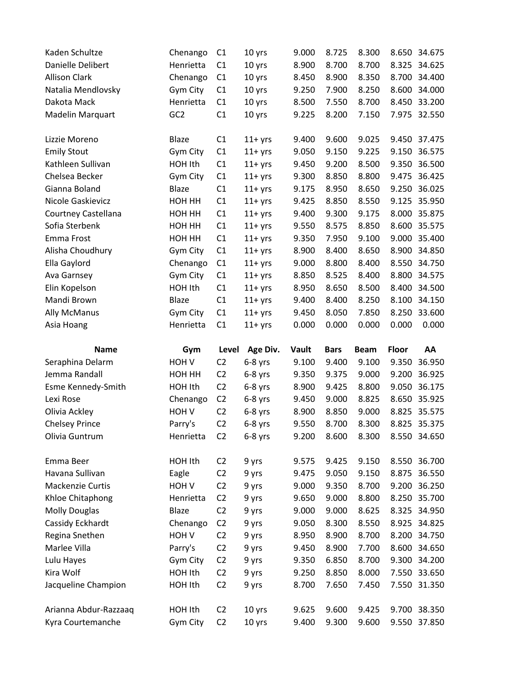| Kaden Schultze        | Chenango         | C1             | 10 yrs    | 9.000 | 8.725       | 8.300       | 8.650        | 34.675       |
|-----------------------|------------------|----------------|-----------|-------|-------------|-------------|--------------|--------------|
| Danielle Delibert     | Henrietta        | C <sub>1</sub> | 10 yrs    | 8.900 | 8.700       | 8.700       |              | 8.325 34.625 |
| <b>Allison Clark</b>  | Chenango         | C1             | 10 yrs    | 8.450 | 8.900       | 8.350       | 8.700        | 34.400       |
| Natalia Mendlovsky    | Gym City         | C1             | 10 yrs    | 9.250 | 7.900       | 8.250       | 8.600        | 34.000       |
| Dakota Mack           | Henrietta        | C1             | 10 yrs    | 8.500 | 7.550       | 8.700       | 8.450        | 33.200       |
| Madelin Marquart      | GC <sub>2</sub>  | C1             | 10 yrs    | 9.225 | 8.200       | 7.150       | 7.975        | 32.550       |
|                       |                  |                |           |       |             |             |              |              |
| Lizzie Moreno         | <b>Blaze</b>     | C1             | $11+$ yrs | 9.400 | 9.600       | 9.025       |              | 9.450 37.475 |
| <b>Emily Stout</b>    | Gym City         | C1             | $11+$ yrs | 9.050 | 9.150       | 9.225       | 9.150        | 36.575       |
| Kathleen Sullivan     | HOH Ith          | C1             | $11+$ yrs | 9.450 | 9.200       | 8.500       | 9.350        | 36.500       |
| Chelsea Becker        | Gym City         | C1             | $11+$ yrs | 9.300 | 8.850       | 8.800       | 9.475        | 36.425       |
| Gianna Boland         | <b>Blaze</b>     | C1             | $11+$ yrs | 9.175 | 8.950       | 8.650       | 9.250        | 36.025       |
| Nicole Gaskievicz     | HOH HH           | C1             | $11+$ yrs | 9.425 | 8.850       | 8.550       | 9.125        | 35.950       |
| Courtney Castellana   | HOH HH           | C1             | $11+$ yrs | 9.400 | 9.300       | 9.175       | 8.000        | 35.875       |
| Sofia Sterbenk        | HOH HH           | C1             | $11+$ yrs | 9.550 | 8.575       | 8.850       | 8.600        | 35.575       |
| Emma Frost            | HOH HH           | C1             | $11+$ yrs | 9.350 | 7.950       | 9.100       | 9.000        | 35.400       |
| Alisha Choudhury      | Gym City         | C1             | $11+$ yrs | 8.900 | 8.400       | 8.650       | 8.900        | 34.850       |
| Ella Gaylord          | Chenango         | C1             | $11+$ yrs | 9.000 | 8.800       | 8.400       | 8.550        | 34.750       |
| Ava Garnsey           | Gym City         | C1             | $11+$ yrs | 8.850 | 8.525       | 8.400       | 8.800        | 34.575       |
| Elin Kopelson         | HOH Ith          | C1             | $11+$ yrs | 8.950 | 8.650       | 8.500       | 8.400        | 34.500       |
| Mandi Brown           | <b>Blaze</b>     | C1             | $11+$ yrs | 9.400 | 8.400       | 8.250       | 8.100        | 34.150       |
| <b>Ally McManus</b>   | Gym City         | C1             | $11+$ yrs | 9.450 | 8.050       | 7.850       | 8.250        | 33.600       |
| Asia Hoang            | Henrietta        | C1             | $11+$ yrs | 0.000 | 0.000       | 0.000       | 0.000        | 0.000        |
|                       |                  |                |           |       |             |             |              |              |
|                       |                  |                |           |       |             |             |              |              |
| <b>Name</b>           | Gym              | Level          | Age Div.  | Vault | <b>Bars</b> | <b>Beam</b> | <b>Floor</b> | AA           |
| Seraphina Delarm      | HOH <sub>V</sub> | C <sub>2</sub> | $6-8$ yrs | 9.100 | 9.400       | 9.100       | 9.350        | 36.950       |
| Jemma Randall         | HOH HH           | C <sub>2</sub> | $6-8$ yrs | 9.350 | 9.375       | 9.000       | 9.200        | 36.925       |
| Esme Kennedy-Smith    | HOH Ith          | C <sub>2</sub> | $6-8$ yrs | 8.900 | 9.425       | 8.800       | 9.050        | 36.175       |
| Lexi Rose             | Chenango         | C <sub>2</sub> | $6-8$ yrs | 9.450 | 9.000       | 8.825       | 8.650        | 35.925       |
| Olivia Ackley         | HOH <sub>V</sub> | C <sub>2</sub> | $6-8$ yrs | 8.900 | 8.850       | 9.000       | 8.825        | 35.575       |
| <b>Chelsey Prince</b> | Parry's          | C <sub>2</sub> | $6-8$ yrs | 9.550 | 8.700       | 8.300       |              | 8.825 35.375 |
| Olivia Guntrum        | Henrietta        | C <sub>2</sub> | $6-8$ yrs | 9.200 | 8.600       | 8.300       |              | 8.550 34.650 |
|                       |                  |                |           |       |             |             |              |              |
| Emma Beer             | HOH Ith          | C <sub>2</sub> | 9 yrs     | 9.575 | 9.425       | 9.150       |              | 8.550 36.700 |
| Havana Sullivan       | Eagle            | C <sub>2</sub> | 9 yrs     | 9.475 | 9.050       | 9.150       | 8.875        | 36.550       |
| Mackenzie Curtis      | HOH V            | C <sub>2</sub> | 9 yrs     | 9.000 | 9.350       | 8.700       | 9.200        | 36.250       |
| Khloe Chitaphong      | Henrietta        | C <sub>2</sub> | 9 yrs     | 9.650 | 9.000       | 8.800       |              | 8.250 35.700 |
| <b>Molly Douglas</b>  | Blaze            | C <sub>2</sub> | 9 yrs     | 9.000 | 9.000       | 8.625       |              | 8.325 34.950 |
| Cassidy Eckhardt      | Chenango         | C <sub>2</sub> | 9 yrs     | 9.050 | 8.300       | 8.550       |              | 8.925 34.825 |
| Regina Snethen        | HOH <sub>V</sub> | C <sub>2</sub> | 9 yrs     | 8.950 | 8.900       | 8.700       |              | 8.200 34.750 |
| Marlee Villa          | Parry's          | C <sub>2</sub> | 9 yrs     | 9.450 | 8.900       | 7.700       | 8.600        | 34.650       |
| Lulu Hayes            | Gym City         | C <sub>2</sub> | 9 yrs     | 9.350 | 6.850       | 8.700       |              | 9.300 34.200 |
| Kira Wolf             | HOH Ith          | C <sub>2</sub> | 9 yrs     | 9.250 | 8.850       | 8.000       |              | 7.550 33.650 |
| Jacqueline Champion   | HOH Ith          | C <sub>2</sub> | 9 yrs     | 8.700 | 7.650       | 7.450       |              | 7.550 31.350 |
|                       |                  |                |           |       |             |             |              |              |
| Arianna Abdur-Razzaaq | HOH Ith          | C <sub>2</sub> | 10 yrs    | 9.625 | 9.600       | 9.425       |              | 9.700 38.350 |
| Kyra Courtemanche     | Gym City         | C <sub>2</sub> | 10 yrs    | 9.400 | 9.300       | 9.600       |              | 9.550 37.850 |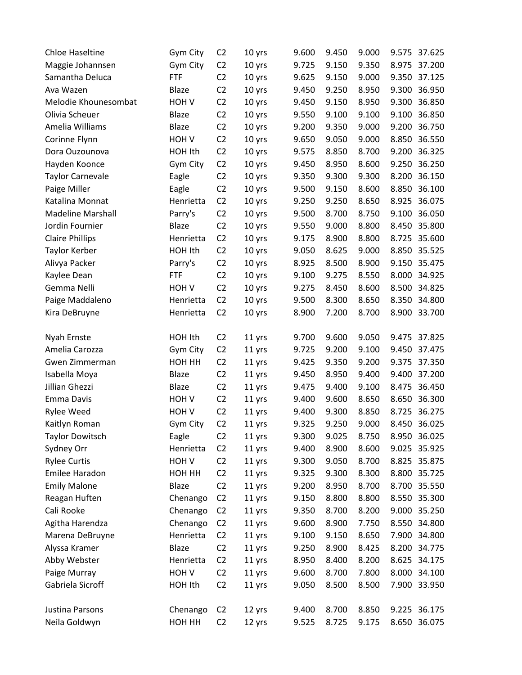| <b>Chloe Haseltine</b>   | Gym City         | C <sub>2</sub> | 10 yrs | 9.600 | 9.450 | 9.000 | 9.575 | 37.625       |
|--------------------------|------------------|----------------|--------|-------|-------|-------|-------|--------------|
| Maggie Johannsen         | Gym City         | C <sub>2</sub> | 10 yrs | 9.725 | 9.150 | 9.350 | 8.975 | 37.200       |
| Samantha Deluca          | <b>FTF</b>       | C <sub>2</sub> | 10 yrs | 9.625 | 9.150 | 9.000 | 9.350 | 37.125       |
| Ava Wazen                | <b>Blaze</b>     | C <sub>2</sub> | 10 yrs | 9.450 | 9.250 | 8.950 | 9.300 | 36.950       |
| Melodie Khounesombat     | HOH <sub>V</sub> | C <sub>2</sub> | 10 yrs | 9.450 | 9.150 | 8.950 | 9.300 | 36.850       |
| Olivia Scheuer           | <b>Blaze</b>     | C <sub>2</sub> | 10 yrs | 9.550 | 9.100 | 9.100 | 9.100 | 36.850       |
| Amelia Williams          | <b>Blaze</b>     | C <sub>2</sub> | 10 yrs | 9.200 | 9.350 | 9.000 | 9.200 | 36.750       |
| Corinne Flynn            | HOH V            | C <sub>2</sub> | 10 yrs | 9.650 | 9.050 | 9.000 | 8.850 | 36.550       |
| Dora Ouzounova           | HOH Ith          | C <sub>2</sub> | 10 yrs | 9.575 | 8.850 | 8.700 | 9.200 | 36.325       |
| Hayden Koonce            | Gym City         | C <sub>2</sub> | 10 yrs | 9.450 | 8.950 | 8.600 | 9.250 | 36.250       |
| <b>Taylor Carnevale</b>  | Eagle            | C <sub>2</sub> | 10 yrs | 9.350 | 9.300 | 9.300 | 8.200 | 36.150       |
| Paige Miller             | Eagle            | C <sub>2</sub> | 10 yrs | 9.500 | 9.150 | 8.600 | 8.850 | 36.100       |
| Katalina Monnat          | Henrietta        | C <sub>2</sub> | 10 yrs | 9.250 | 9.250 | 8.650 | 8.925 | 36.075       |
| <b>Madeline Marshall</b> | Parry's          | C <sub>2</sub> | 10 yrs | 9.500 | 8.700 | 8.750 | 9.100 | 36.050       |
| Jordin Fournier          | <b>Blaze</b>     | C <sub>2</sub> | 10 yrs | 9.550 | 9.000 | 8.800 | 8.450 | 35.800       |
| <b>Claire Phillips</b>   | Henrietta        | C <sub>2</sub> | 10 yrs | 9.175 | 8.900 | 8.800 | 8.725 | 35.600       |
| <b>Taylor Kerber</b>     | HOH Ith          | C <sub>2</sub> | 10 yrs | 9.050 | 8.625 | 9.000 | 8.850 | 35.525       |
| Alivya Packer            | Parry's          | C <sub>2</sub> | 10 yrs | 8.925 | 8.500 | 8.900 | 9.150 | 35.475       |
| Kaylee Dean              | <b>FTF</b>       | C <sub>2</sub> | 10 yrs | 9.100 | 9.275 | 8.550 | 8.000 | 34.925       |
| Gemma Nelli              | HOH V            | C <sub>2</sub> | 10 yrs | 9.275 | 8.450 | 8.600 | 8.500 | 34.825       |
| Paige Maddaleno          | Henrietta        | C <sub>2</sub> | 10 yrs | 9.500 | 8.300 | 8.650 |       | 8.350 34.800 |
| Kira DeBruyne            | Henrietta        | C <sub>2</sub> | 10 yrs | 8.900 | 7.200 | 8.700 | 8.900 | 33.700       |
|                          |                  |                |        |       |       |       |       |              |
| Nyah Ernste              | HOH Ith          | C <sub>2</sub> | 11 yrs | 9.700 | 9.600 | 9.050 | 9.475 | 37.825       |
| Amelia Carozza           | Gym City         | C <sub>2</sub> | 11 yrs | 9.725 | 9.200 | 9.100 | 9.450 | 37.475       |
| Gwen Zimmerman           | HOH HH           | C <sub>2</sub> | 11 yrs | 9.425 | 9.350 | 9.200 | 9.375 | 37.350       |
| Isabella Moya            | <b>Blaze</b>     | C <sub>2</sub> | 11 yrs | 9.450 | 8.950 | 9.400 | 9.400 | 37.200       |
| Jillian Ghezzi           | <b>Blaze</b>     | C <sub>2</sub> | 11 yrs | 9.475 | 9.400 | 9.100 | 8.475 | 36.450       |
| Emma Davis               | HOH <sub>V</sub> | C <sub>2</sub> | 11 yrs | 9.400 | 9.600 | 8.650 | 8.650 | 36.300       |
| <b>Rylee Weed</b>        | HOH <sub>V</sub> | C <sub>2</sub> | 11 yrs | 9.400 | 9.300 | 8.850 | 8.725 | 36.275       |
| Kaitlyn Roman            | Gym City         | C <sub>2</sub> | 11 yrs | 9.325 | 9.250 | 9.000 | 8.450 | 36.025       |
| <b>Taylor Dowitsch</b>   | Eagle            | C <sub>2</sub> | 11 yrs | 9.300 | 9.025 | 8.750 |       | 8.950 36.025 |
| Sydney Orr               | Henrietta        | C <sub>2</sub> | 11 yrs | 9.400 | 8.900 | 8.600 | 9.025 | 35.925       |
| <b>Rylee Curtis</b>      | HOH <sub>V</sub> | C <sub>2</sub> | 11 yrs | 9.300 | 9.050 | 8.700 |       | 8.825 35.875 |
| Emilee Haradon           | HOH HH           | C <sub>2</sub> | 11 yrs | 9.325 | 9.300 | 8.300 |       | 8.800 35.725 |
| <b>Emily Malone</b>      | Blaze            | C <sub>2</sub> | 11 yrs | 9.200 | 8.950 | 8.700 | 8.700 | 35.550       |
| Reagan Huften            | Chenango         | C <sub>2</sub> | 11 yrs | 9.150 | 8.800 | 8.800 |       | 8.550 35.300 |
| Cali Rooke               | Chenango         | C <sub>2</sub> | 11 yrs | 9.350 | 8.700 | 8.200 |       | 9.000 35.250 |
| Agitha Harendza          | Chenango         | C <sub>2</sub> | 11 yrs | 9.600 | 8.900 | 7.750 |       | 8.550 34.800 |
| Marena DeBruyne          | Henrietta        | C <sub>2</sub> | 11 yrs | 9.100 | 9.150 | 8.650 | 7.900 | 34.800       |
| Alyssa Kramer            | Blaze            | C <sub>2</sub> | 11 yrs | 9.250 | 8.900 | 8.425 |       | 8.200 34.775 |
| Abby Webster             | Henrietta        | C <sub>2</sub> | 11 yrs | 8.950 | 8.400 | 8.200 |       | 8.625 34.175 |
| Paige Murray             | HOH <sub>V</sub> | C <sub>2</sub> | 11 yrs | 9.600 | 8.700 | 7.800 |       | 8.000 34.100 |
| Gabriela Sicroff         | HOH Ith          | C <sub>2</sub> | 11 yrs | 9.050 | 8.500 | 8.500 | 7.900 | 33.950       |
|                          |                  |                |        |       |       |       |       |              |
| Justina Parsons          | Chenango         | C <sub>2</sub> | 12 yrs | 9.400 | 8.700 | 8.850 |       | 9.225 36.175 |
| Neila Goldwyn            | HOH HH           | C <sub>2</sub> | 12 yrs | 9.525 | 8.725 | 9.175 |       | 8.650 36.075 |
|                          |                  |                |        |       |       |       |       |              |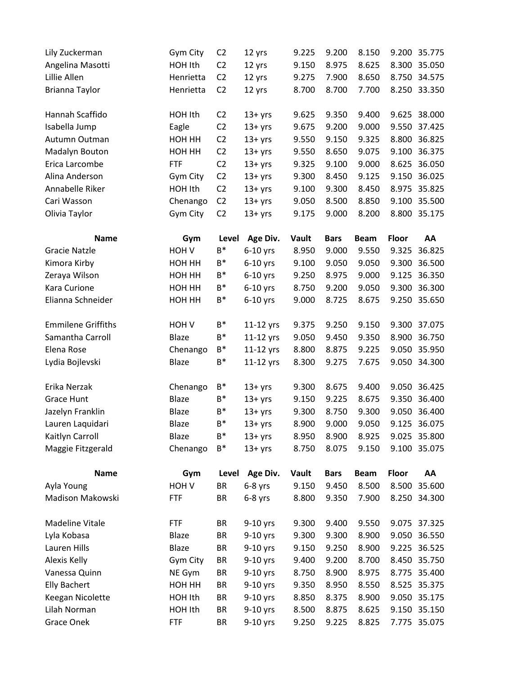| Lily Zuckerman            | Gym City         | C <sub>2</sub> | 12 yrs     | 9.225 | 9.200       | 8.150       |              | 9.200 35.775 |
|---------------------------|------------------|----------------|------------|-------|-------------|-------------|--------------|--------------|
| Angelina Masotti          | HOH Ith          | C <sub>2</sub> | 12 yrs     | 9.150 | 8.975       | 8.625       | 8.300        | 35.050       |
| Lillie Allen              | Henrietta        | C <sub>2</sub> | 12 yrs     | 9.275 | 7.900       | 8.650       | 8.750        | 34.575       |
| Brianna Taylor            | Henrietta        | C <sub>2</sub> | 12 yrs     | 8.700 | 8.700       | 7.700       |              | 8.250 33.350 |
| Hannah Scaffido           | HOH Ith          | C <sub>2</sub> | $13 + yrs$ | 9.625 | 9.350       | 9.400       | 9.625        | 38.000       |
| Isabella Jump             | Eagle            | C <sub>2</sub> | $13 + yrs$ | 9.675 | 9.200       | 9.000       | 9.550        | 37.425       |
| Autumn Outman             | HOH HH           | C <sub>2</sub> | $13 + yrs$ | 9.550 | 9.150       | 9.325       | 8.800        | 36.825       |
| Madalyn Bouton            | HOH HH           | C <sub>2</sub> | $13 + yrs$ | 9.550 | 8.650       | 9.075       | 9.100        | 36.375       |
| Erica Larcombe            | <b>FTF</b>       | C <sub>2</sub> | $13 + yrs$ | 9.325 | 9.100       | 9.000       | 8.625        | 36.050       |
| Alina Anderson            | Gym City         | C <sub>2</sub> | $13 + yrs$ | 9.300 | 8.450       | 9.125       | 9.150        | 36.025       |
| Annabelle Riker           | HOH Ith          | C <sub>2</sub> | $13 + yrs$ | 9.100 | 9.300       | 8.450       | 8.975        | 35.825       |
| Cari Wasson               | Chenango         | C <sub>2</sub> | $13 + yrs$ | 9.050 | 8.500       | 8.850       | 9.100        | 35.500       |
| Olivia Taylor             | Gym City         | C <sub>2</sub> | $13 + yrs$ | 9.175 | 9.000       | 8.200       |              | 8.800 35.175 |
| <b>Name</b>               | Gym              | Level          | Age Div.   | Vault | <b>Bars</b> | <b>Beam</b> | Floor        | AA           |
| Gracie Natzle             | HOH V            | B*             | $6-10$ yrs | 8.950 | 9.000       | 9.550       | 9.325        | 36.825       |
| Kimora Kirby              | НОН НН           | B*             | $6-10$ yrs | 9.100 | 9.050       | 9.050       | 9.300        | 36.500       |
| Zeraya Wilson             | HOH HH           | B*             | $6-10$ yrs | 9.250 | 8.975       | 9.000       | 9.125        | 36.350       |
| Kara Curione              | HOH HH           | $B^*$          | $6-10$ yrs | 8.750 | 9.200       | 9.050       | 9.300        | 36.300       |
| Elianna Schneider         | HOH HH           | $\mathsf{B}^*$ | $6-10$ yrs | 9.000 | 8.725       | 8.675       |              | 9.250 35.650 |
| <b>Emmilene Griffiths</b> | HOH <sub>V</sub> | B*             | 11-12 yrs  | 9.375 | 9.250       | 9.150       | 9.300        | 37.075       |
| Samantha Carroll          | <b>Blaze</b>     | B*             | 11-12 yrs  | 9.050 | 9.450       | 9.350       | 8.900        | 36.750       |
| Elena Rose                | Chenango         | B*             | 11-12 yrs  | 8.800 | 8.875       | 9.225       | 9.050        | 35.950       |
| Lydia Bojlevski           | Blaze            | B*             | 11-12 yrs  | 8.300 | 9.275       | 7.675       |              | 9.050 34.300 |
| Erika Nerzak              | Chenango         | B*             | $13 + yrs$ | 9.300 | 8.675       | 9.400       | 9.050        | 36.425       |
| <b>Grace Hunt</b>         | Blaze            | $B^*$          | $13 + yrs$ | 9.150 | 9.225       | 8.675       | 9.350        | 36.400       |
| Jazelyn Franklin          | Blaze            | B*             | $13 + yrs$ | 9.300 | 8.750       | 9.300       | 9.050        | 36.400       |
| Lauren Laquidari          | <b>Blaze</b>     | B*             | $13 + yrs$ | 8.900 | 9.000       | 9.050       | 9.125        | 36.075       |
| Kaitlyn Carroll           | Blaze            | B*             | $13 + yrs$ | 8.950 | 8.900       | 8.925       |              | 9.025 35.800 |
| Maggie Fitzgerald         | Chenango         | B*             | $13 + yrs$ | 8.750 | 8.075       | 9.150       |              | 9.100 35.075 |
| <b>Name</b>               | Gym              | Level          | Age Div.   | Vault | <b>Bars</b> | <b>Beam</b> | <b>Floor</b> | AA           |
| Ayla Young                | HOH <sub>V</sub> | BR             | $6-8$ yrs  | 9.150 | 9.450       | 8.500       | 8.500        | 35.600       |
| Madison Makowski          | <b>FTF</b>       | BR             | $6-8$ yrs  | 8.800 | 9.350       | 7.900       |              | 8.250 34.300 |
| Madeline Vitale           | <b>FTF</b>       | BR             | $9-10$ yrs | 9.300 | 9.400       | 9.550       |              | 9.075 37.325 |
| Lyla Kobasa               | Blaze            | BR             | 9-10 yrs   | 9.300 | 9.300       | 8.900       | 9.050        | 36.550       |
| Lauren Hills              | Blaze            | BR             | 9-10 yrs   | 9.150 | 9.250       | 8.900       | 9.225        | 36.525       |
| Alexis Kelly              | Gym City         | BR             | 9-10 yrs   | 9.400 | 9.200       | 8.700       |              | 8.450 35.750 |
| Vanessa Quinn             | NE Gym           | BR             | 9-10 yrs   | 8.750 | 8.900       | 8.975       | 8.775        | 35.400       |
| <b>Elly Bachert</b>       | HOH HH           | BR             | 9-10 yrs   | 9.350 | 8.950       | 8.550       | 8.525        | 35.375       |
| Keegan Nicolette          | HOH Ith          | BR             | 9-10 yrs   | 8.850 | 8.375       | 8.900       |              | 9.050 35.175 |
| Lilah Norman              | HOH Ith          | BR             | 9-10 yrs   | 8.500 | 8.875       | 8.625       |              | 9.150 35.150 |
| Grace Onek                | <b>FTF</b>       | BR             | 9-10 yrs   | 9.250 | 9.225       | 8.825       |              | 7.775 35.075 |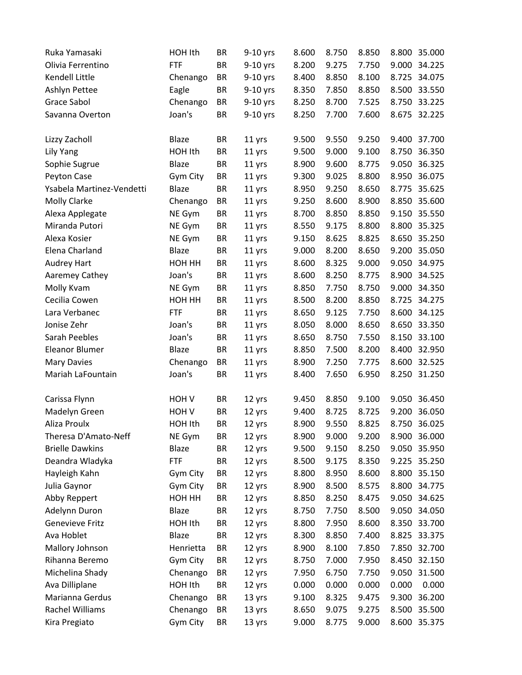| Ruka Yamasaki             | HOH Ith          | <b>BR</b> | $9-10$ yrs | 8.600 | 8.750 | 8.850 |       | 8.800 35.000 |
|---------------------------|------------------|-----------|------------|-------|-------|-------|-------|--------------|
| Olivia Ferrentino         | <b>FTF</b>       | <b>BR</b> | 9-10 yrs   | 8.200 | 9.275 | 7.750 |       | 9.000 34.225 |
| Kendell Little            | Chenango         | <b>BR</b> | 9-10 yrs   | 8.400 | 8.850 | 8.100 |       | 8.725 34.075 |
| Ashlyn Pettee             | Eagle            | <b>BR</b> | $9-10$ yrs | 8.350 | 7.850 | 8.850 |       | 8.500 33.550 |
| Grace Sabol               | Chenango         | <b>BR</b> | 9-10 yrs   | 8.250 | 8.700 | 7.525 | 8.750 | 33.225       |
| Savanna Overton           | Joan's           | <b>BR</b> | 9-10 yrs   | 8.250 | 7.700 | 7.600 |       | 8.675 32.225 |
|                           |                  |           |            |       |       |       |       |              |
| Lizzy Zacholl             | <b>Blaze</b>     | <b>BR</b> | 11 yrs     | 9.500 | 9.550 | 9.250 |       | 9.400 37.700 |
| Lily Yang                 | HOH Ith          | <b>BR</b> | 11 yrs     | 9.500 | 9.000 | 9.100 | 8.750 | 36.350       |
| Sophie Sugrue             | Blaze            | <b>BR</b> | 11 yrs     | 8.900 | 9.600 | 8.775 |       | 9.050 36.325 |
| Peyton Case               | Gym City         | <b>BR</b> | 11 yrs     | 9.300 | 9.025 | 8.800 |       | 8.950 36.075 |
| Ysabela Martinez-Vendetti | <b>Blaze</b>     | <b>BR</b> | 11 yrs     | 8.950 | 9.250 | 8.650 | 8.775 | 35.625       |
| Molly Clarke              | Chenango         | <b>BR</b> | 11 yrs     | 9.250 | 8.600 | 8.900 |       | 8.850 35.600 |
| Alexa Applegate           | NE Gym           | <b>BR</b> | 11 yrs     | 8.700 | 8.850 | 8.850 |       | 9.150 35.550 |
| Miranda Putori            | NE Gym           | <b>BR</b> | 11 yrs     | 8.550 | 9.175 | 8.800 |       | 8.800 35.325 |
| Alexa Kosier              | NE Gym           | <b>BR</b> | 11 yrs     | 9.150 | 8.625 | 8.825 |       | 8.650 35.250 |
| Elena Charland            | <b>Blaze</b>     | <b>BR</b> | 11 yrs     | 9.000 | 8.200 | 8.650 |       | 9.200 35.050 |
| Audrey Hart               | HOH HH           | <b>BR</b> | 11 yrs     | 8.600 | 8.325 | 9.000 |       | 9.050 34.975 |
| Aaremey Cathey            | Joan's           | <b>BR</b> | 11 yrs     | 8.600 | 8.250 | 8.775 |       | 8.900 34.525 |
| Molly Kvam                | NE Gym           | <b>BR</b> | 11 yrs     | 8.850 | 7.750 | 8.750 |       | 9.000 34.350 |
| Cecilia Cowen             | HOH HH           | <b>BR</b> | 11 yrs     | 8.500 | 8.200 | 8.850 |       | 8.725 34.275 |
| Lara Verbanec             | <b>FTF</b>       | <b>BR</b> | 11 yrs     | 8.650 | 9.125 | 7.750 | 8.600 | 34.125       |
| Jonise Zehr               | Joan's           | <b>BR</b> | 11 yrs     | 8.050 | 8.000 | 8.650 |       | 8.650 33.350 |
| Sarah Peebles             | Joan's           | <b>BR</b> | 11 yrs     | 8.650 | 8.750 | 7.550 |       | 8.150 33.100 |
| <b>Eleanor Blumer</b>     | <b>Blaze</b>     | <b>BR</b> | 11 yrs     | 8.850 | 7.500 | 8.200 | 8.400 | 32.950       |
| <b>Mary Davies</b>        | Chenango         | <b>BR</b> | 11 yrs     | 8.900 | 7.250 | 7.775 |       | 8.600 32.525 |
| Mariah LaFountain         | Joan's           | <b>BR</b> | 11 yrs     | 8.400 | 7.650 | 6.950 |       | 8.250 31.250 |
|                           |                  |           |            |       |       |       |       |              |
| Carissa Flynn             | HOH <sub>V</sub> | <b>BR</b> | 12 yrs     | 9.450 | 8.850 | 9.100 |       | 9.050 36.450 |
| Madelyn Green             | HOH <sub>V</sub> | <b>BR</b> | 12 yrs     | 9.400 | 8.725 | 8.725 | 9.200 | 36.050       |
| Aliza Proulx              | HOH Ith          | <b>BR</b> | 12 yrs     | 8.900 | 9.550 | 8.825 | 8.750 | 36.025       |
| Theresa D'Amato-Neff      | NE Gym           | <b>BR</b> | 12 yrs     | 8.900 | 9.000 | 9.200 |       | 8.900 36.000 |
| <b>Brielle Dawkins</b>    | Blaze            | <b>BR</b> | 12 yrs     | 9.500 | 9.150 | 8.250 |       | 9.050 35.950 |
| Deandra Wladyka           | <b>FTF</b>       | BR        | 12 yrs     | 8.500 | 9.175 | 8.350 |       | 9.225 35.250 |
| Hayleigh Kahn             | Gym City         | <b>BR</b> | 12 yrs     | 8.800 | 8.950 | 8.600 |       | 8.800 35.150 |
| Julia Gaynor              | Gym City         | <b>BR</b> | 12 yrs     | 8.900 | 8.500 | 8.575 |       | 8.800 34.775 |
| Abby Reppert              | HOH HH           | <b>BR</b> | 12 yrs     | 8.850 | 8.250 | 8.475 |       | 9.050 34.625 |
| Adelynn Duron             | Blaze            | <b>BR</b> | 12 yrs     | 8.750 | 7.750 | 8.500 |       | 9.050 34.050 |
| Genevieve Fritz           | HOH Ith          | <b>BR</b> | 12 yrs     | 8.800 | 7.950 | 8.600 |       | 8.350 33.700 |
| Ava Hoblet                | Blaze            | <b>BR</b> | 12 yrs     | 8.300 | 8.850 | 7.400 | 8.825 | 33.375       |
| Mallory Johnson           | Henrietta        | BR        | 12 yrs     | 8.900 | 8.100 | 7.850 |       | 7.850 32.700 |
| Rihanna Beremo            | Gym City         | <b>BR</b> | 12 yrs     | 8.750 | 7.000 | 7.950 |       | 8.450 32.150 |
| Michelina Shady           | Chenango         | <b>BR</b> | 12 yrs     | 7.950 | 6.750 | 7.750 |       | 9.050 31.500 |
| Ava Dilliplane            | HOH Ith          | <b>BR</b> | 12 yrs     | 0.000 | 0.000 | 0.000 | 0.000 | 0.000        |
| Marianna Gerdus           | Chenango         | <b>BR</b> | 13 yrs     | 9.100 | 8.325 | 9.475 | 9.300 | 36.200       |
| Rachel Williams           | Chenango         | <b>BR</b> | 13 yrs     | 8.650 | 9.075 | 9.275 |       | 8.500 35.500 |
| Kira Pregiato             | Gym City         | <b>BR</b> | 13 yrs     | 9.000 | 8.775 | 9.000 |       | 8.600 35.375 |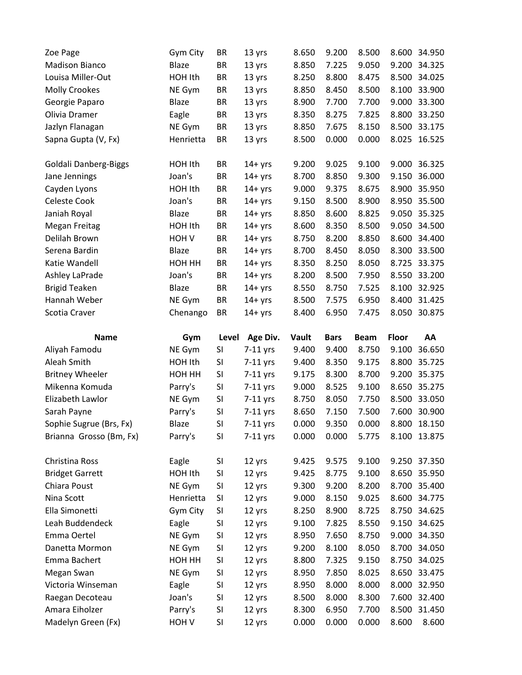| Zoe Page                             | Gym City         | <b>BR</b> | 13 yrs           | 8.650          | 9.200          | 8.500          | 8.600        | 34.950       |
|--------------------------------------|------------------|-----------|------------------|----------------|----------------|----------------|--------------|--------------|
| <b>Madison Bianco</b>                | <b>Blaze</b>     | <b>BR</b> | 13 yrs           | 8.850          | 7.225          | 9.050          | 9.200        | 34.325       |
| Louisa Miller-Out                    | HOH Ith          | <b>BR</b> | 13 yrs           | 8.250          | 8.800          | 8.475          | 8.500        | 34.025       |
| <b>Molly Crookes</b>                 | NE Gym           | BR        | 13 yrs           | 8.850          | 8.450          | 8.500          | 8.100        | 33.900       |
| Georgie Paparo                       | <b>Blaze</b>     | <b>BR</b> | 13 yrs           | 8.900          | 7.700          | 7.700          | 9.000        | 33.300       |
| Olivia Dramer                        | Eagle            | <b>BR</b> | 13 yrs           | 8.350          | 8.275          | 7.825          | 8.800        | 33.250       |
| Jazlyn Flanagan                      | NE Gym           | <b>BR</b> | 13 yrs           | 8.850          | 7.675          | 8.150          | 8.500        | 33.175       |
| Sapna Gupta (V, Fx)                  | Henrietta        | <b>BR</b> | 13 yrs           | 8.500          | 0.000          | 0.000          | 8.025        | 16.525       |
| Goldali Danberg-Biggs                | HOH Ith          | BR        | $14 + yrs$       | 9.200          | 9.025          | 9.100          | 9.000        | 36.325       |
| Jane Jennings                        | Joan's           | <b>BR</b> | $14 + yrs$       | 8.700          | 8.850          | 9.300          | 9.150        | 36.000       |
| Cayden Lyons                         | HOH Ith          | <b>BR</b> | $14 + yrs$       | 9.000          | 9.375          | 8.675          | 8.900        | 35.950       |
| Celeste Cook                         | Joan's           | BR        | $14 + yrs$       | 9.150          | 8.500          | 8.900          | 8.950        | 35.500       |
| Janiah Royal                         | Blaze            | BR        | $14 + yrs$       | 8.850          | 8.600          | 8.825          | 9.050        | 35.325       |
| <b>Megan Freitag</b>                 | HOH Ith          | BR        | $14 + yrs$       | 8.600          | 8.350          | 8.500          | 9.050        | 34.500       |
| Delilah Brown                        | HOH <sub>V</sub> | <b>BR</b> | $14 + yrs$       | 8.750          | 8.200          | 8.850          | 8.600        | 34.400       |
| Serena Bardin                        | <b>Blaze</b>     | <b>BR</b> | $14 + yrs$       | 8.700          | 8.450          | 8.050          | 8.300        | 33.500       |
| Katie Wandell                        | HOH HH           | <b>BR</b> | $14 + yrs$       | 8.350          | 8.250          | 8.050          | 8.725        | 33.375       |
| Ashley LaPrade                       | Joan's           | BR        | $14 + yrs$       | 8.200          | 8.500          | 7.950          | 8.550        | 33.200       |
| <b>Brigid Teaken</b>                 | Blaze            | BR        | $14 + yrs$       | 8.550          | 8.750          | 7.525          | 8.100        | 32.925       |
| Hannah Weber                         | NE Gym           | BR        | $14 + yrs$       | 8.500          | 7.575          | 6.950          | 8.400        | 31.425       |
| Scotia Craver                        | Chenango         | BR        | $14 + yrs$       | 8.400          | 6.950          | 7.475          | 8.050        | 30.875       |
| <b>Name</b>                          | Gym              | Level     | Age Div.         | Vault          | <b>Bars</b>    | <b>Beam</b>    | <b>Floor</b> | AA           |
| Aliyah Famodu                        | NE Gym           | SI        | $7-11$ yrs       | 9.400          | 9.400          | 8.750          | 9.100        | 36.650       |
| Aleah Smith                          | HOH Ith          | SI        | $7-11$ yrs       | 9.400          | 8.350          | 9.175          | 8.800        | 35.725       |
| <b>Britney Wheeler</b>               | HOH HH           | SI        | $7-11$ yrs       | 9.175          | 8.300          | 8.700          | 9.200        | 35.375       |
| Mikenna Komuda                       | Parry's          | SI        | 7-11 yrs         | 9.000          | 8.525          | 9.100          | 8.650        | 35.275       |
| Elizabeth Lawlor                     | NE Gym           | SI        | $7-11$ yrs       | 8.750          | 8.050          | 7.750          | 8.500        | 33.050       |
| Sarah Payne                          | Parry's          | SI        | 7-11 yrs         | 8.650          | 7.150          | 7.500          | 7.600        | 30.900       |
| Sophie Sugrue (Brs, Fx)              | <b>Blaze</b>     | SI        | $7-11$ yrs       | 0.000          | 9.350          | 0.000          | 8.800        | 18.150       |
| Brianna Grosso (Bm, Fx)              | Parry's          | SI        | $7-11$ yrs       | 0.000          | 0.000          | 5.775          |              | 8.100 13.875 |
| Christina Ross                       | Eagle            | SI        | 12 yrs           | 9.425          | 9.575          | 9.100          |              | 9.250 37.350 |
| <b>Bridget Garrett</b>               | HOH Ith          | SI        | 12 yrs           | 9.425          | 8.775          | 9.100          |              | 8.650 35.950 |
| Chiara Poust                         | NE Gym           | SI        | 12 yrs           | 9.300          | 9.200          | 8.200          | 8.700        | 35.400       |
| Nina Scott                           | Henrietta        | SI        | 12 yrs           | 9.000          | 8.150          | 9.025          | 8.600        | 34.775       |
| Ella Simonetti                       | Gym City         | SI        | 12 yrs           | 8.250          | 8.900          | 8.725          |              | 8.750 34.625 |
| Leah Buddendeck                      | Eagle            | SI        | 12 yrs           | 9.100          | 7.825          | 8.550          |              | 9.150 34.625 |
| Emma Oertel                          | NE Gym           | SI        | 12 yrs           | 8.950          | 7.650          | 8.750          | 9.000        | 34.350       |
| Danetta Mormon                       | NE Gym           | SI        | 12 yrs           | 9.200          | 8.100          | 8.050          |              | 8.700 34.050 |
| Emma Bachert                         | HOH HH           | SI        | 12 yrs           | 8.800          | 7.325          | 9.150          |              | 8.750 34.025 |
| Megan Swan                           | NE Gym           | SI        | 12 yrs           | 8.950          | 7.850          | 8.025          | 8.650        | 33.475       |
| Victoria Winseman                    | Eagle            | SI        | 12 yrs           | 8.950          | 8.000          | 8.000          | 8.000        | 32.950       |
| Raegan Decoteau                      | Joan's           | SI        | 12 yrs           | 8.500          | 8.000          | 8.300          | 7.600        | 32.400       |
| Amara Eiholzer<br>Madelyn Green (Fx) | Parry's          | SI        | 12 yrs<br>12 yrs | 8.300<br>0.000 | 6.950<br>0.000 | 7.700<br>0.000 | 8.500        | 31.450       |
|                                      | HOH <sub>V</sub> | SI        |                  |                |                |                | 8.600        | 8.600        |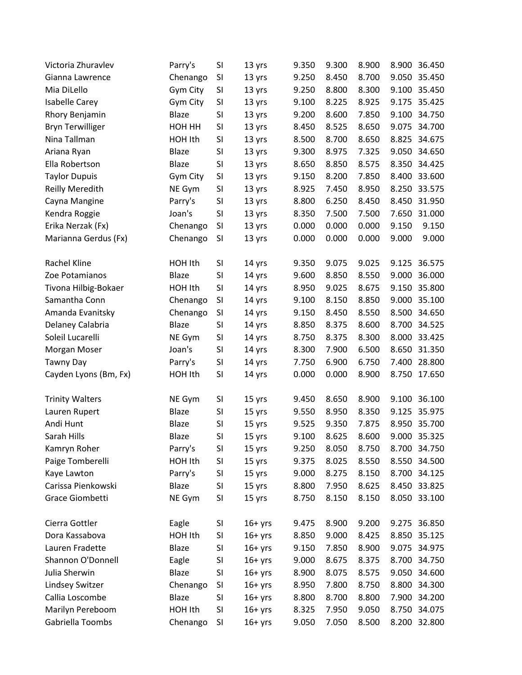| Victoria Zhuravlev      | Parry's      | SI        | 13 yrs    | 9.350 | 9.300 | 8.900 | 8.900 | 36.450       |
|-------------------------|--------------|-----------|-----------|-------|-------|-------|-------|--------------|
| Gianna Lawrence         | Chenango     | SI        | 13 yrs    | 9.250 | 8.450 | 8.700 | 9.050 | 35.450       |
| Mia DiLello             | Gym City     | SI        | 13 yrs    | 9.250 | 8.800 | 8.300 | 9.100 | 35.450       |
| <b>Isabelle Carey</b>   | Gym City     | SI        | 13 yrs    | 9.100 | 8.225 | 8.925 | 9.175 | 35.425       |
| Rhory Benjamin          | <b>Blaze</b> | SI        | 13 yrs    | 9.200 | 8.600 | 7.850 | 9.100 | 34.750       |
| <b>Bryn Terwilliger</b> | HOH HH       | SI        | 13 yrs    | 8.450 | 8.525 | 8.650 | 9.075 | 34.700       |
| Nina Tallman            | HOH Ith      | SI        | 13 yrs    | 8.500 | 8.700 | 8.650 | 8.825 | 34.675       |
| Ariana Ryan             | <b>Blaze</b> | SI        | 13 yrs    | 9.300 | 8.975 | 7.325 | 9.050 | 34.650       |
| Ella Robertson          | <b>Blaze</b> | SI        | 13 yrs    | 8.650 | 8.850 | 8.575 | 8.350 | 34.425       |
| <b>Taylor Dupuis</b>    | Gym City     | SI        | 13 yrs    | 9.150 | 8.200 | 7.850 | 8.400 | 33.600       |
| <b>Reilly Meredith</b>  | NE Gym       | SI        | 13 yrs    | 8.925 | 7.450 | 8.950 | 8.250 | 33.575       |
| Cayna Mangine           | Parry's      | SI        | 13 yrs    | 8.800 | 6.250 | 8.450 | 8.450 | 31.950       |
| Kendra Roggie           | Joan's       | SI        | 13 yrs    | 8.350 | 7.500 | 7.500 | 7.650 | 31.000       |
| Erika Nerzak (Fx)       | Chenango     | SI        | 13 yrs    | 0.000 | 0.000 | 0.000 | 9.150 | 9.150        |
| Marianna Gerdus (Fx)    | Chenango     | SI        | 13 yrs    | 0.000 | 0.000 | 0.000 | 9.000 | 9.000        |
| Rachel Kline            | HOH Ith      | <b>SI</b> | 14 yrs    | 9.350 | 9.075 | 9.025 | 9.125 | 36.575       |
| Zoe Potamianos          | Blaze        | SI        | 14 yrs    | 9.600 | 8.850 | 8.550 | 9.000 | 36.000       |
| Tivona Hilbig-Bokaer    | HOH Ith      | SI        | 14 yrs    | 8.950 | 9.025 | 8.675 | 9.150 | 35.800       |
| Samantha Conn           | Chenango     | SI        | 14 yrs    | 9.100 | 8.150 | 8.850 | 9.000 | 35.100       |
| Amanda Evanitsky        | Chenango     | SI        | 14 yrs    | 9.150 | 8.450 | 8.550 | 8.500 | 34.650       |
| Delaney Calabria        | Blaze        | SI        | 14 yrs    | 8.850 | 8.375 | 8.600 | 8.700 | 34.525       |
| Soleil Lucarelli        | NE Gym       | SI        | 14 yrs    | 8.750 | 8.375 | 8.300 | 8.000 | 33.425       |
| Morgan Moser            | Joan's       | <b>SI</b> | 14 yrs    | 8.300 | 7.900 | 6.500 | 8.650 | 31.350       |
| Tawny Day               | Parry's      | SI        | 14 yrs    | 7.750 | 6.900 | 6.750 | 7.400 | 28.800       |
| Cayden Lyons (Bm, Fx)   | HOH Ith      | SI        | 14 yrs    | 0.000 | 0.000 | 8.900 | 8.750 | 17.650       |
| <b>Trinity Walters</b>  | NE Gym       | SI        | 15 yrs    | 9.450 | 8.650 | 8.900 | 9.100 | 36.100       |
| Lauren Rupert           | Blaze        | SI        | 15 yrs    | 9.550 | 8.950 | 8.350 | 9.125 | 35.975       |
| Andi Hunt               | <b>Blaze</b> | SI        | 15 yrs    | 9.525 | 9.350 | 7.875 | 8.950 | 35.700       |
| Sarah Hills             | Blaze        | SI        | 15 yrs    | 9.100 | 8.625 | 8.600 | 9.000 | 35.325       |
| Kamryn Roher            | Parry's      | SI        | 15 yrs    | 9.250 | 8.050 | 8.750 |       | 8.700 34.750 |
| Paige Tomberelli        | HOH Ith      | SI        | 15 yrs    | 9.375 | 8.025 | 8.550 |       | 8.550 34.500 |
| Kaye Lawton             | Parry's      | SI        | 15 yrs    | 9.000 | 8.275 | 8.150 |       | 8.700 34.125 |
| Carissa Pienkowski      | Blaze        | SI        | 15 yrs    | 8.800 | 7.950 | 8.625 |       | 8.450 33.825 |
| Grace Giombetti         | NE Gym       | SI        | 15 yrs    | 8.750 | 8.150 | 8.150 |       | 8.050 33.100 |
| Cierra Gottler          | Eagle        | SI        | $16+$ yrs | 9.475 | 8.900 | 9.200 |       | 9.275 36.850 |
| Dora Kassabova          | HOH Ith      | SI        | $16+yrs$  | 8.850 | 9.000 | 8.425 | 8.850 | 35.125       |
| Lauren Fradette         | Blaze        | SI        | $16+yrs$  | 9.150 | 7.850 | 8.900 | 9.075 | 34.975       |
| Shannon O'Donnell       | Eagle        | SI        | $16+yrs$  | 9.000 | 8.675 | 8.375 | 8.700 | 34.750       |
| Julia Sherwin           | Blaze        | SI        | $16+yrs$  | 8.900 | 8.075 | 8.575 | 9.050 | 34.600       |
| Lindsey Switzer         | Chenango     | SI        | $16+yrs$  | 8.950 | 7.800 | 8.750 | 8.800 | 34.300       |
| Callia Loscombe         | Blaze        | SI        | $16+yrs$  | 8.800 | 8.700 | 8.800 | 7.900 | 34.200       |
| Marilyn Pereboom        | HOH Ith      | SI        | $16+yrs$  | 8.325 | 7.950 | 9.050 | 8.750 | 34.075       |
| Gabriella Toombs        | Chenango     | SI        | $16+$ yrs | 9.050 | 7.050 | 8.500 |       | 8.200 32.800 |